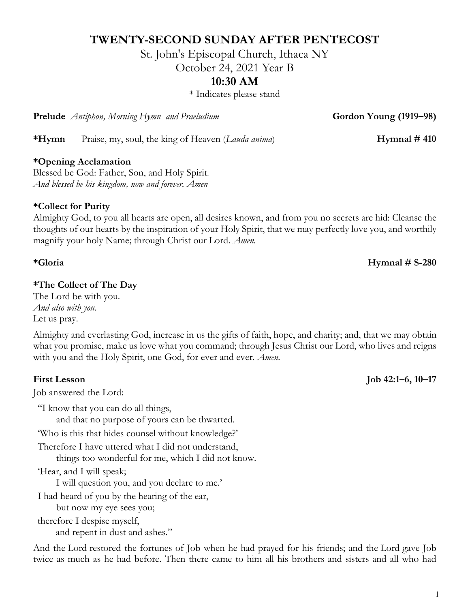## **TWENTY-SECOND SUNDAY AFTER PENTECOST**

St. John's Episcopal Church, Ithaca NY

October 24, 2021 Year B

**10:30 AM**

\* Indicates please stand

**Prelude** *Antiphon, Morning Hymn and Praeludium* **Gordon Young (1919–98)**

**\*Hymn** Praise, my, soul, the king of Heaven (*Lauda anima*) **Hymnal # 410**

### **\*Opening Acclamation**

Blessed be God: Father, Son, and Holy Spirit. *And blessed be his kingdom, now and forever. Amen*

### **\*Collect for Purity**

Almighty God, to you all hearts are open, all desires known, and from you no secrets are hid: Cleanse the thoughts of our hearts by the inspiration of your Holy Spirit, that we may perfectly love you, and worthily magnify your holy Name; through Christ our Lord. *Amen.*

**\*Gloria Hymnal # S-280**

### **\*The Collect of The Day**

The Lord be with you. *And also with you.* Let us pray.

Almighty and everlasting God, increase in us the gifts of faith, hope, and charity; and, that we may obtain what you promise, make us love what you command; through Jesus Christ our Lord, who lives and reigns with you and the Holy Spirit, one God, for ever and ever. *Amen.*

Job answered the Lord:

"I know that you can do all things,

and that no purpose of yours can be thwarted.

'Who is this that hides counsel without knowledge?'

Therefore I have uttered what I did not understand,

things too wonderful for me, which I did not know.

'Hear, and I will speak;

I will question you, and you declare to me.'

I had heard of you by the hearing of the ear,

but now my eye sees you;

therefore I despise myself,

and repent in dust and ashes."

And the Lord restored the fortunes of Job when he had prayed for his friends; and the Lord gave Job twice as much as he had before. Then there came to him all his brothers and sisters and all who had

**First Lesson Job 42:1–6, 10–17**

1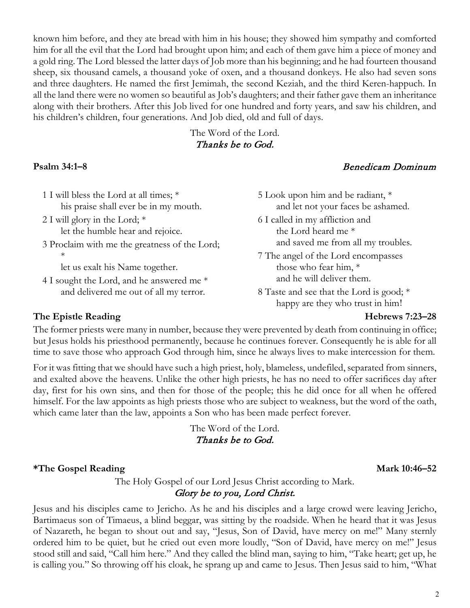known him before, and they ate bread with him in his house; they showed him sympathy and comforted him for all the evil that the Lord had brought upon him; and each of them gave him a piece of money and a gold ring. The Lord blessed the latter days of Job more than his beginning; and he had fourteen thousand sheep, six thousand camels, a thousand yoke of oxen, and a thousand donkeys. He also had seven sons and three daughters. He named the first Jemimah, the second Keziah, and the third Keren-happuch. In all the land there were no women so beautiful as Job's daughters; and their father gave them an inheritance along with their brothers. After this Job lived for one hundred and forty years, and saw his children, and his children's children, four generations. And Job died, old and full of days.

> The Word of the Lord. Thanks be to God.

### **Psalm 34:1–8** Benedicam Dominum

- 1 I will bless the Lord at all times; \* his praise shall ever be in my mouth.
- 2 I will glory in the Lord; \* let the humble hear and rejoice.
- 3 Proclaim with me the greatness of the Lord; \*

let us exalt his Name together.

4 I sought the Lord, and he answered me \* and delivered me out of all my terror.

- 5 Look upon him and be radiant, \* and let not your faces be ashamed.
- 6 I called in my affliction and the Lord heard me \* and saved me from all my troubles.
- 7 The angel of the Lord encompasses those who fear him, \* and he will deliver them.
- 8 Taste and see that the Lord is good; \* happy are they who trust in him!

### **The Epistle Reading Hebrews 7:23–28**

The former priests were many in number, because they were prevented by death from continuing in office; but Jesus holds his priesthood permanently, because he continues forever. Consequently he is able for all time to save those who approach God through him, since he always lives to make intercession for them.

For it was fitting that we should have such a high priest, holy, blameless, undefiled, separated from sinners, and exalted above the heavens. Unlike the other high priests, he has no need to offer sacrifices day after day, first for his own sins, and then for those of the people; this he did once for all when he offered himself. For the law appoints as high priests those who are subject to weakness, but the word of the oath, which came later than the law, appoints a Son who has been made perfect forever.

### The Word of the Lord. Thanks be to God.

### \*The Gospel Reading Mark 10:46–52

The Holy Gospel of our Lord Jesus Christ according to Mark. Glory be to you, Lord Christ.

Jesus and his disciples came to Jericho. As he and his disciples and a large crowd were leaving Jericho, Bartimaeus son of Timaeus, a blind beggar, was sitting by the roadside. When he heard that it was Jesus of Nazareth, he began to shout out and say, "Jesus, Son of David, have mercy on me!" Many sternly ordered him to be quiet, but he cried out even more loudly, "Son of David, have mercy on me!" Jesus stood still and said, "Call him here." And they called the blind man, saying to him, "Take heart; get up, he is calling you." So throwing off his cloak, he sprang up and came to Jesus. Then Jesus said to him, "What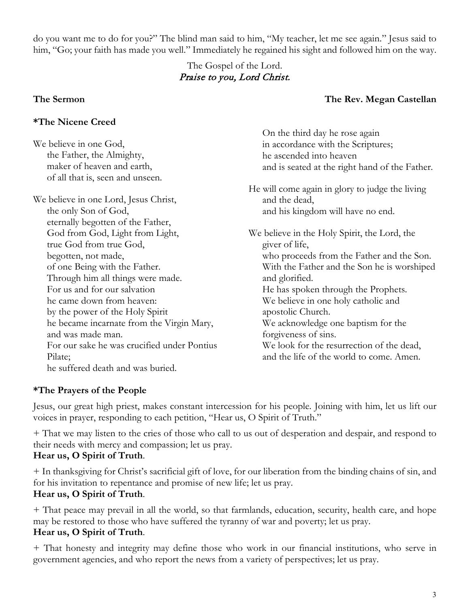do you want me to do for you?" The blind man said to him, "My teacher, let me see again." Jesus said to him, "Go; your faith has made you well." Immediately he regained his sight and followed him on the way.

### The Gospel of the Lord. Praise to you, Lord Christ.

**\*The Nicene Creed**

## **The Sermon The Rev. Megan Castellan**

| We believe in one God,                                                                                                                                                                                                                                                                                                                                                                                                   | On the third day he rose again                                                                                                                                                                                                                                                                                                                                                                                                         |
|--------------------------------------------------------------------------------------------------------------------------------------------------------------------------------------------------------------------------------------------------------------------------------------------------------------------------------------------------------------------------------------------------------------------------|----------------------------------------------------------------------------------------------------------------------------------------------------------------------------------------------------------------------------------------------------------------------------------------------------------------------------------------------------------------------------------------------------------------------------------------|
| the Father, the Almighty,                                                                                                                                                                                                                                                                                                                                                                                                | in accordance with the Scriptures;                                                                                                                                                                                                                                                                                                                                                                                                     |
| maker of heaven and earth,                                                                                                                                                                                                                                                                                                                                                                                               | he ascended into heaven                                                                                                                                                                                                                                                                                                                                                                                                                |
| of all that is, seen and unseen.                                                                                                                                                                                                                                                                                                                                                                                         | and is seated at the right hand of the Father.                                                                                                                                                                                                                                                                                                                                                                                         |
| We believe in one Lord, Jesus Christ,                                                                                                                                                                                                                                                                                                                                                                                    | He will come again in glory to judge the living                                                                                                                                                                                                                                                                                                                                                                                        |
| the only Son of God,                                                                                                                                                                                                                                                                                                                                                                                                     | and the dead,                                                                                                                                                                                                                                                                                                                                                                                                                          |
| eternally begotten of the Father,                                                                                                                                                                                                                                                                                                                                                                                        | and his kingdom will have no end.                                                                                                                                                                                                                                                                                                                                                                                                      |
| God from God, Light from Light,<br>true God from true God,<br>begotten, not made,<br>of one Being with the Father.<br>Through him all things were made.<br>For us and for our salvation<br>he came down from heaven:<br>by the power of the Holy Spirit<br>he became incarnate from the Virgin Mary,<br>and was made man.<br>For our sake he was crucified under Pontius<br>Pilate;<br>he suffered death and was buried. | We believe in the Holy Spirit, the Lord, the<br>giver of life,<br>who proceeds from the Father and the Son.<br>With the Father and the Son he is worshiped<br>and glorified.<br>He has spoken through the Prophets.<br>We believe in one holy catholic and<br>apostolic Church.<br>We acknowledge one baptism for the<br>forgiveness of sins.<br>We look for the resurrection of the dead,<br>and the life of the world to come. Amen. |

## **\*The Prayers of the People**

Jesus, our great high priest, makes constant intercession for his people. Joining with him, let us lift our voices in prayer, responding to each petition, "Hear us, O Spirit of Truth."

+ That we may listen to the cries of those who call to us out of desperation and despair, and respond to their needs with mercy and compassion; let us pray.

## **Hear us, O Spirit of Truth**.

+ In thanksgiving for Christ's sacrificial gift of love, for our liberation from the binding chains of sin, and for his invitation to repentance and promise of new life; let us pray. **Hear us, O Spirit of Truth**.

+ That peace may prevail in all the world, so that farmlands, education, security, health care, and hope may be restored to those who have suffered the tyranny of war and poverty; let us pray. **Hear us, O Spirit of Truth**.

+ That honesty and integrity may define those who work in our financial institutions, who serve in government agencies, and who report the news from a variety of perspectives; let us pray.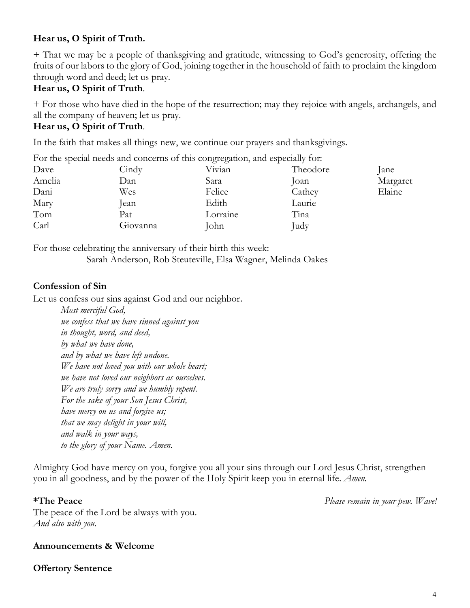### **Hear us, O Spirit of Truth.**

+ That we may be a people of thanksgiving and gratitude, witnessing to God's generosity, offering the fruits of our labors to the glory of God, joining together in the household of faith to proclaim the kingdom through word and deed; let us pray.

### **Hear us, O Spirit of Truth**.

+ For those who have died in the hope of the resurrection; may they rejoice with angels, archangels, and all the company of heaven; let us pray.

### **Hear us, O Spirit of Truth**.

In the faith that makes all things new, we continue our prayers and thanksgivings.

| For the special needs and concerns of this congregation, and especially for: |          |          |          |          |  |
|------------------------------------------------------------------------------|----------|----------|----------|----------|--|
| Dave                                                                         | Cindy    | Vivian   | Theodore | ane      |  |
| Amelia                                                                       | Dan      | Sara     | Joan     | Margaret |  |
| Dani                                                                         | Wes      | Felice   | Cathey   | Elaine   |  |
| Mary                                                                         | Jean     | Edith    | Laurie   |          |  |
| Tom                                                                          | Pat      | Lorraine | Tina     |          |  |
| Carl                                                                         | Giovanna | John     | Judy     |          |  |

For those celebrating the anniversary of their birth this week: Sarah Anderson, Rob Steuteville, Elsa Wagner, Melinda Oakes

### **Confession of Sin**

Let us confess our sins against God and our neighbor.

*Most merciful God, we confess that we have sinned against you in thought, word, and deed, by what we have done, and by what we have left undone. We have not loved you with our whole heart; we have not loved our neighbors as ourselves. We are truly sorry and we humbly repent. For the sake of your Son Jesus Christ, have mercy on us and forgive us; that we may delight in your will, and walk in your ways, to the glory of your Name. Amen.*

Almighty God have mercy on you, forgive you all your sins through our Lord Jesus Christ, strengthen you in all goodness, and by the power of the Holy Spirit keep you in eternal life. *Amen.*

The peace of the Lord be always with you. *And also with you.*

### **Announcements & Welcome**

**Offertory Sentence** 

**\*The Peace** *Please remain in your pew. Wave!*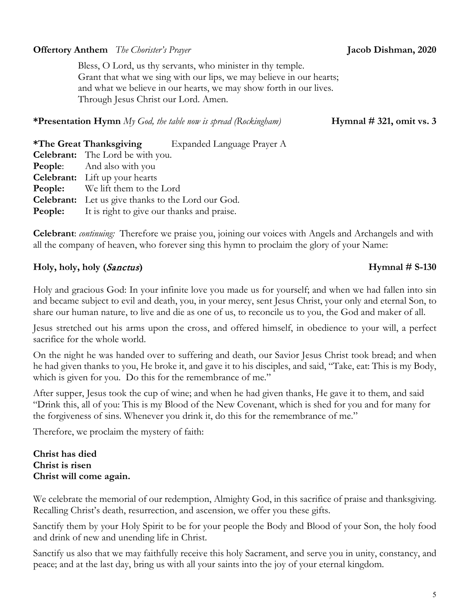### **Offertory Anthem** *The Chorister's Prayer* **Jacob Dishman, 2020**

Bless, O Lord, us thy servants, who minister in thy temple. Grant that what we sing with our lips, we may believe in our hearts; and what we believe in our hearts, we may show forth in our lives. Through Jesus Christ our Lord. Amen.

**\*Presentation Hymn** *My God, the table now is spread (Rockingham)* **Hymnal # 321, omit vs. 3**

|                                                           | <b>*The Great Thanksgiving</b> Expanded Language Prayer A |
|-----------------------------------------------------------|-----------------------------------------------------------|
| <b>Celebrant:</b> The Lord be with you.                   |                                                           |
| <b>People:</b> And also with you                          |                                                           |
| <b>Celebrant:</b> Lift up your hearts                     |                                                           |
| <b>People:</b> We lift them to the Lord                   |                                                           |
| <b>Celebrant:</b> Let us give thanks to the Lord our God. |                                                           |
| <b>People:</b> It is right to give our thanks and praise. |                                                           |

**Celebrant**: *continuing:* Therefore we praise you, joining our voices with Angels and Archangels and with all the company of heaven, who forever sing this hymn to proclaim the glory of your Name:

### **Holy, holy, holy (**Sanctus**) Hymnal # S-130**

Holy and gracious God: In your infinite love you made us for yourself; and when we had fallen into sin and became subject to evil and death, you, in your mercy, sent Jesus Christ, your only and eternal Son, to share our human nature, to live and die as one of us, to reconcile us to you, the God and maker of all.

Jesus stretched out his arms upon the cross, and offered himself, in obedience to your will, a perfect sacrifice for the whole world.

On the night he was handed over to suffering and death, our Savior Jesus Christ took bread; and when he had given thanks to you, He broke it, and gave it to his disciples, and said, "Take, eat: This is my Body, which is given for you. Do this for the remembrance of me."

After supper, Jesus took the cup of wine; and when he had given thanks, He gave it to them, and said "Drink this, all of you: This is my Blood of the New Covenant, which is shed for you and for many for the forgiveness of sins. Whenever you drink it, do this for the remembrance of me."

Therefore, we proclaim the mystery of faith:

### **Christ has died Christ is risen Christ will come again.**

We celebrate the memorial of our redemption, Almighty God, in this sacrifice of praise and thanksgiving. Recalling Christ's death, resurrection, and ascension, we offer you these gifts.

Sanctify them by your Holy Spirit to be for your people the Body and Blood of your Son, the holy food and drink of new and unending life in Christ.

Sanctify us also that we may faithfully receive this holy Sacrament, and serve you in unity, constancy, and peace; and at the last day, bring us with all your saints into the joy of your eternal kingdom.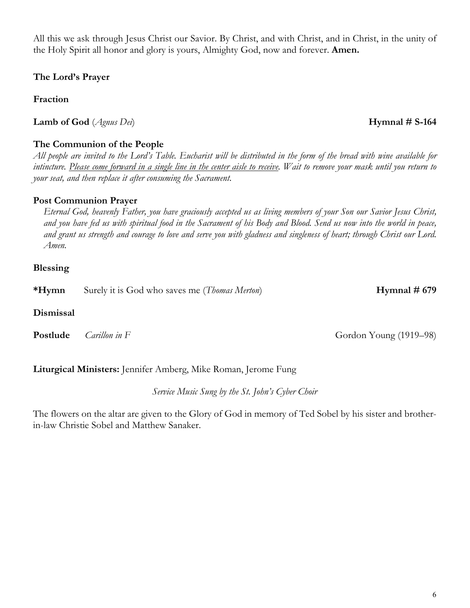All this we ask through Jesus Christ our Savior. By Christ, and with Christ, and in Christ, in the unity of the Holy Spirit all honor and glory is yours, Almighty God, now and forever. **Amen.**

# **The Lord's Prayer**

# **Fraction**

**Lamb of God** (*Agnus Dei*) **Hymnal # S-164**

# **The Communion of the People**

*All people are invited to the Lord's Table. Eucharist will be distributed in the form of the bread with wine available for intincture. Please come forward in a single line in the center aisle to receive. Wait to remove your mask until you return to your seat, and then replace it after consuming the Sacrament.* 

# **Post Communion Prayer**

*Eternal God, heavenly Father, you have graciously accepted us as living members of your Son our Savior Jesus Christ, and you have fed us with spiritual food in the Sacrament of his Body and Blood. Send us now into the world in peace, and grant us strength and courage to love and serve you with gladness and singleness of heart; through Christ our Lord. Amen.*

## **Blessing**

| $*Hymn$   | Surely it is God who saves me <i>(Thomas Merton)</i> | Hymnal $\#$ 679        |
|-----------|------------------------------------------------------|------------------------|
| Dismissal |                                                      |                        |
| Postlude  | Carillon in F                                        | Gordon Young (1919–98) |

**Liturgical Ministers:** Jennifer Amberg, Mike Roman, Jerome Fung

*Service Music Sung by the St. John's Cyber Choir*

The flowers on the altar are given to the Glory of God in memory of Ted Sobel by his sister and brotherin-law Christie Sobel and Matthew Sanaker.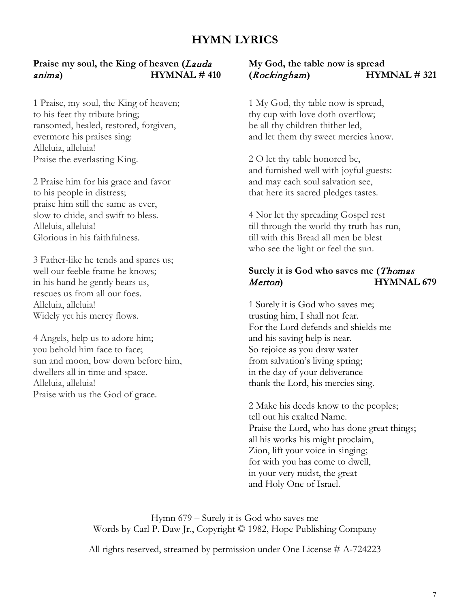# **HYMN LYRICS**

### **Praise my soul, the King of heaven (**Lauda anima**) HYMNAL # 410**

1 Praise, my soul, the King of heaven; to his feet thy tribute bring; ransomed, healed, restored, forgiven, evermore his praises sing: Alleluia, alleluia! Praise the everlasting King.

2 Praise him for his grace and favor to his people in distress; praise him still the same as ever, slow to chide, and swift to bless. Alleluia, alleluia! Glorious in his faithfulness.

3 Father-like he tends and spares us; well our feeble frame he knows; in his hand he gently bears us, rescues us from all our foes. Alleluia, alleluia! Widely yet his mercy flows.

4 Angels, help us to adore him; you behold him face to face; sun and moon, bow down before him, dwellers all in time and space. Alleluia, alleluia! Praise with us the God of grace.

### **My God, the table now is spread (**Rockingham**) HYMNAL # 321**

1 My God, thy table now is spread, thy cup with love doth overflow; be all thy children thither led, and let them thy sweet mercies know.

2 O let thy table honored be, and furnished well with joyful guests: and may each soul salvation see, that here its sacred pledges tastes.

4 Nor let thy spreading Gospel rest till through the world thy truth has run, till with this Bread all men be blest who see the light or feel the sun.

### **Surely it is God who saves me (**Thomas Merton**) HYMNAL 679**

1 Surely it is God who saves me; trusting him, I shall not fear. For the Lord defends and shields me and his saving help is near. So rejoice as you draw water from salvation's living spring; in the day of your deliverance thank the Lord, his mercies sing.

2 Make his deeds know to the peoples; tell out his exalted Name. Praise the Lord, who has done great things; all his works his might proclaim, Zion, lift your voice in singing; for with you has come to dwell, in your very midst, the great and Holy One of Israel.

Hymn 679 – Surely it is God who saves me Words by Carl P. Daw Jr., Copyright © 1982, Hope Publishing Company

All rights reserved, streamed by permission under One License # A-724223